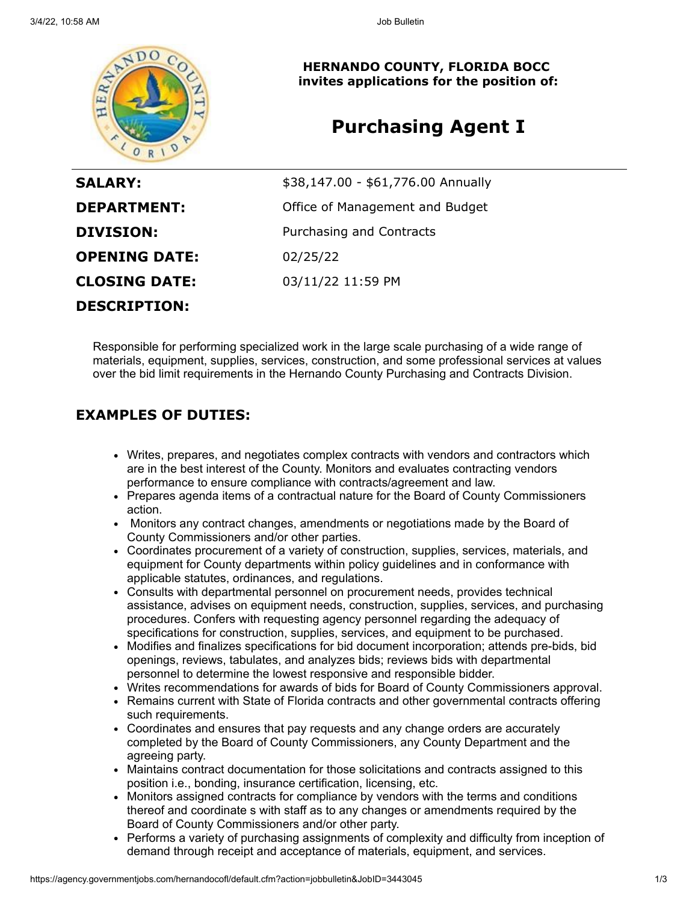

**HERNANDO COUNTY, FLORIDA BOCC invites applications for the position of:**

# **Purchasing Agent I**

| <b>SALARY:</b>       | \$38,147.00 - \$61,776.00 Annually |
|----------------------|------------------------------------|
| <b>DEPARTMENT:</b>   | Office of Management and Budget    |
| <b>DIVISION:</b>     | Purchasing and Contracts           |
| <b>OPENING DATE:</b> | 02/25/22                           |
| <b>CLOSING DATE:</b> | 03/11/22 11:59 PM                  |
| <b>DESCRIPTION:</b>  |                                    |

Responsible for performing specialized work in the large scale purchasing of a wide range of materials, equipment, supplies, services, construction, and some professional services at values over the bid limit requirements in the Hernando County Purchasing and Contracts Division.

### **EXAMPLES OF DUTIES:**

- Writes, prepares, and negotiates complex contracts with vendors and contractors which are in the best interest of the County. Monitors and evaluates contracting vendors performance to ensure compliance with contracts/agreement and law.
- Prepares agenda items of a contractual nature for the Board of County Commissioners action.
- Monitors any contract changes, amendments or negotiations made by the Board of County Commissioners and/or other parties.
- Coordinates procurement of a variety of construction, supplies, services, materials, and equipment for County departments within policy guidelines and in conformance with applicable statutes, ordinances, and regulations.
- Consults with departmental personnel on procurement needs, provides technical assistance, advises on equipment needs, construction, supplies, services, and purchasing procedures. Confers with requesting agency personnel regarding the adequacy of specifications for construction, supplies, services, and equipment to be purchased.
- Modifies and finalizes specifications for bid document incorporation; attends pre-bids, bid  $\bullet$ openings, reviews, tabulates, and analyzes bids; reviews bids with departmental personnel to determine the lowest responsive and responsible bidder.
- Writes recommendations for awards of bids for Board of County Commissioners approval.
- Remains current with State of Florida contracts and other governmental contracts offering such requirements.
- Coordinates and ensures that pay requests and any change orders are accurately completed by the Board of County Commissioners, any County Department and the agreeing party.
- Maintains contract documentation for those solicitations and contracts assigned to this position i.e., bonding, insurance certification, licensing, etc.
- Monitors assigned contracts for compliance by vendors with the terms and conditions thereof and coordinate s with staff as to any changes or amendments required by the Board of County Commissioners and/or other party.
- Performs a variety of purchasing assignments of complexity and difficulty from inception of demand through receipt and acceptance of materials, equipment, and services.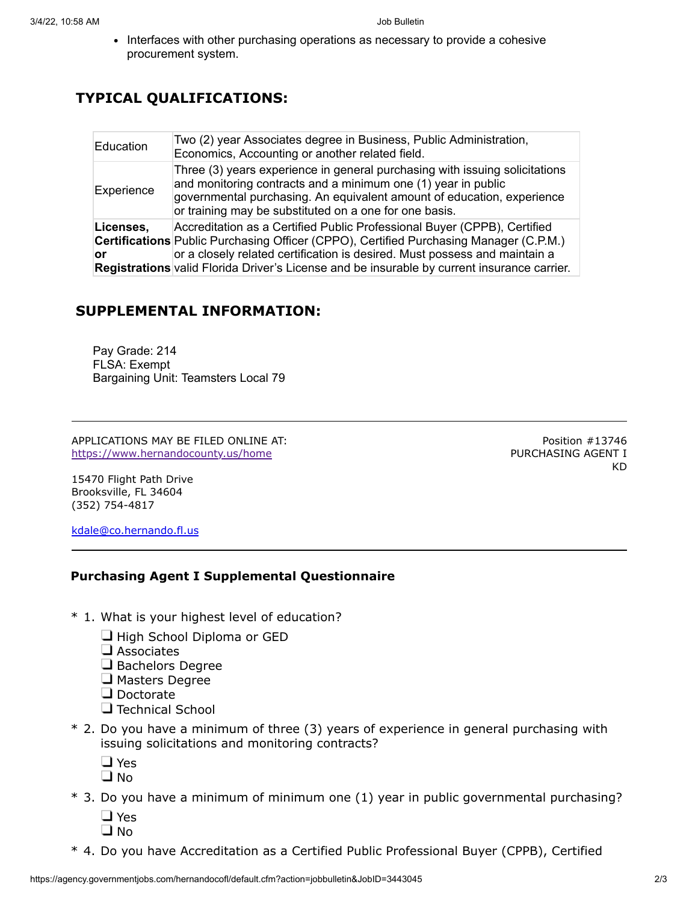• Interfaces with other purchasing operations as necessary to provide a cohesive procurement system.

## **TYPICAL QUALIFICATIONS:**

| Education       | Two (2) year Associates degree in Business, Public Administration,<br>Economics, Accounting or another related field.                                                                                                                                                                                                                                  |
|-----------------|--------------------------------------------------------------------------------------------------------------------------------------------------------------------------------------------------------------------------------------------------------------------------------------------------------------------------------------------------------|
| Experience      | Three (3) years experience in general purchasing with issuing solicitations<br>and monitoring contracts and a minimum one (1) year in public<br>governmental purchasing. An equivalent amount of education, experience<br>or training may be substituted on a one for one basis.                                                                       |
| Licenses,<br>or | Accreditation as a Certified Public Professional Buyer (CPPB), Certified<br><b>Certifications</b> Public Purchasing Officer (CPPO), Certified Purchasing Manager (C.P.M.)<br>or a closely related certification is desired. Must possess and maintain a<br>Registrations valid Florida Driver's License and be insurable by current insurance carrier. |

### **SUPPLEMENTAL INFORMATION:**

Pay Grade: 214 FLSA: Exempt Bargaining Unit: Teamsters Local 79

APPLICATIONS MAY BE FILED ONLINE AT: <https://www.hernandocounty.us/home>

Position #13746 PURCHASING AGENT I KD

15470 Flight Path Drive Brooksville, FL 34604 (352) 754-4817

[kdale@co.hernando.fl.us](mailto:kdale@co.hernando.fl.us)

#### **Purchasing Agent I Supplemental Questionnaire**

- \* 1. What is your highest level of education?
	- $\Box$  High School Diploma or GED
	- $\square$  Associates
	- Bachelors Degree
	- $\Box$  Masters Degree
	- Doctorate
	- $\Box$  Technical School
- \* 2. Do you have a minimum of three (3) years of experience in general purchasing with issuing solicitations and monitoring contracts?
	- □ Yes
	- $\square$  No
- \* 3. Do you have a minimum of minimum one (1) year in public governmental purchasing?
	- □ Yes  $\square$  No
- \* 4. Do you have Accreditation as a Certified Public Professional Buyer (CPPB), Certified